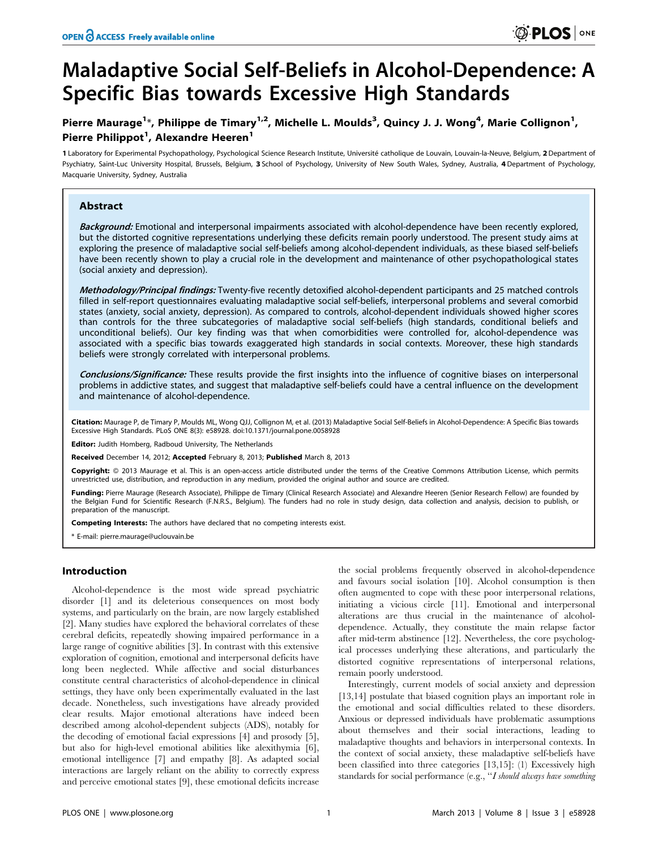# Maladaptive Social Self-Beliefs in Alcohol-Dependence: A Specific Bias towards Excessive High Standards

## Pierre Maurage<sup>1</sup>\*, Philippe de Timary<sup>1,2</sup>, Michelle L. Moulds<sup>3</sup>, Quincy J. J. Wong<sup>4</sup>, Marie Collignon<sup>1</sup>, Pierre Philippot<sup>1</sup>, Alexandre Heeren<sup>1</sup>

1 Laboratory for Experimental Psychopathology, Psychological Science Research Institute, Université catholique de Louvain, Louvain-la-Neuve, Belgium, 2 Department of Psychiatry, Saint-Luc University Hospital, Brussels, Belgium, 3 School of Psychology, University of New South Wales, Sydney, Australia, 4 Department of Psychology, Macquarie University, Sydney, Australia

## Abstract

Background: Emotional and interpersonal impairments associated with alcohol-dependence have been recently explored, but the distorted cognitive representations underlying these deficits remain poorly understood. The present study aims at exploring the presence of maladaptive social self-beliefs among alcohol-dependent individuals, as these biased self-beliefs have been recently shown to play a crucial role in the development and maintenance of other psychopathological states (social anxiety and depression).

Methodology/Principal findings: Twenty-five recently detoxified alcohol-dependent participants and 25 matched controls filled in self-report questionnaires evaluating maladaptive social self-beliefs, interpersonal problems and several comorbid states (anxiety, social anxiety, depression). As compared to controls, alcohol-dependent individuals showed higher scores than controls for the three subcategories of maladaptive social self-beliefs (high standards, conditional beliefs and unconditional beliefs). Our key finding was that when comorbidities were controlled for, alcohol-dependence was associated with a specific bias towards exaggerated high standards in social contexts. Moreover, these high standards beliefs were strongly correlated with interpersonal problems.

Conclusions/Significance: These results provide the first insights into the influence of cognitive biases on interpersonal problems in addictive states, and suggest that maladaptive self-beliefs could have a central influence on the development and maintenance of alcohol-dependence.

Citation: Maurage P, de Timary P, Moulds ML, Wong QJJ, Collignon M, et al. (2013) Maladaptive Social Self-Beliefs in Alcohol-Dependence: A Specific Bias towards Excessive High Standards. PLoS ONE 8(3): e58928. doi:10.1371/journal.pone.0058928

Editor: Judith Homberg, Radboud University, The Netherlands

Received December 14, 2012; Accepted February 8, 2013; Published March 8, 2013

Copyright: © 2013 Maurage et al. This is an open-access article distributed under the terms of the Creative Commons Attribution License, which permits unrestricted use, distribution, and reproduction in any medium, provided the original author and source are credited.

Funding: Pierre Maurage (Research Associate), Philippe de Timary (Clinical Research Associate) and Alexandre Heeren (Senior Research Fellow) are founded by the Belgian Fund for Scientific Research (F.N.R.S., Belgium). The funders had no role in study design, data collection and analysis, decision to publish, or preparation of the manuscript.

Competing Interests: The authors have declared that no competing interests exist.

\* E-mail: pierre.maurage@uclouvain.be

## Introduction

Alcohol-dependence is the most wide spread psychiatric disorder [1] and its deleterious consequences on most body systems, and particularly on the brain, are now largely established [2]. Many studies have explored the behavioral correlates of these cerebral deficits, repeatedly showing impaired performance in a large range of cognitive abilities [3]. In contrast with this extensive exploration of cognition, emotional and interpersonal deficits have long been neglected. While affective and social disturbances constitute central characteristics of alcohol-dependence in clinical settings, they have only been experimentally evaluated in the last decade. Nonetheless, such investigations have already provided clear results. Major emotional alterations have indeed been described among alcohol-dependent subjects (ADS), notably for the decoding of emotional facial expressions [4] and prosody [5], but also for high-level emotional abilities like alexithymia [6], emotional intelligence [7] and empathy [8]. As adapted social interactions are largely reliant on the ability to correctly express and perceive emotional states [9], these emotional deficits increase

the social problems frequently observed in alcohol-dependence and favours social isolation [10]. Alcohol consumption is then often augmented to cope with these poor interpersonal relations, initiating a vicious circle [11]. Emotional and interpersonal alterations are thus crucial in the maintenance of alcoholdependence. Actually, they constitute the main relapse factor after mid-term abstinence [12]. Nevertheless, the core psychological processes underlying these alterations, and particularly the distorted cognitive representations of interpersonal relations, remain poorly understood.

Interestingly, current models of social anxiety and depression [13,14] postulate that biased cognition plays an important role in the emotional and social difficulties related to these disorders. Anxious or depressed individuals have problematic assumptions about themselves and their social interactions, leading to maladaptive thoughts and behaviors in interpersonal contexts. In the context of social anxiety, these maladaptive self-beliefs have been classified into three categories [13,15]: (1) Excessively high standards for social performance (e.g., ''I should always have something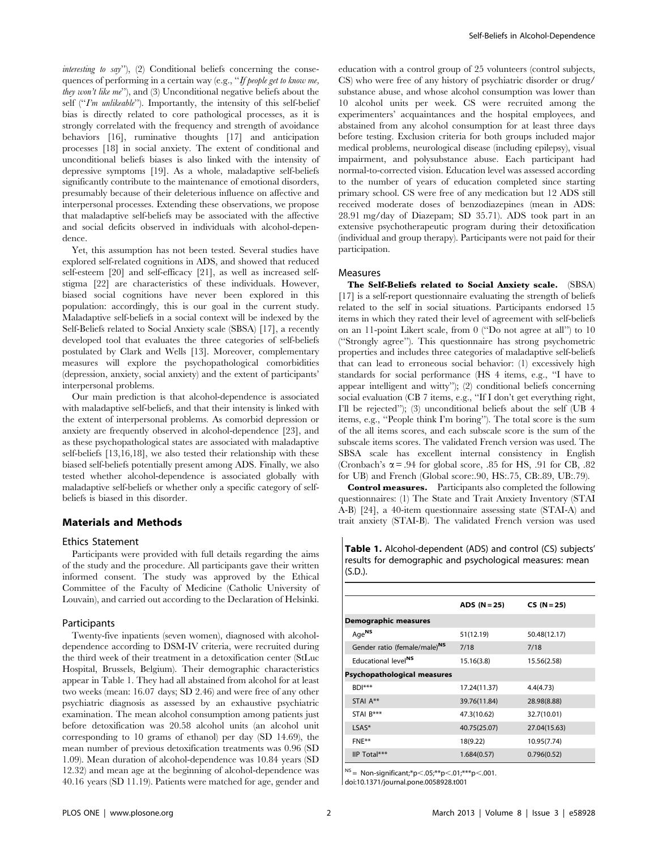interesting to say"), (2) Conditional beliefs concerning the consequences of performing in a certain way (e.g., ''If people get to know me, they won't like me''), and (3) Unconditional negative beliefs about the self (" $\Gamma$ m unlikeable"). Importantly, the intensity of this self-belief bias is directly related to core pathological processes, as it is strongly correlated with the frequency and strength of avoidance behaviors [16], ruminative thoughts [17] and anticipation processes [18] in social anxiety. The extent of conditional and unconditional beliefs biases is also linked with the intensity of depressive symptoms [19]. As a whole, maladaptive self-beliefs significantly contribute to the maintenance of emotional disorders, presumably because of their deleterious influence on affective and interpersonal processes. Extending these observations, we propose that maladaptive self-beliefs may be associated with the affective and social deficits observed in individuals with alcohol-dependence.

Yet, this assumption has not been tested. Several studies have explored self-related cognitions in ADS, and showed that reduced self-esteem [20] and self-efficacy [21], as well as increased selfstigma [22] are characteristics of these individuals. However, biased social cognitions have never been explored in this population: accordingly, this is our goal in the current study. Maladaptive self-beliefs in a social context will be indexed by the Self-Beliefs related to Social Anxiety scale (SBSA) [17], a recently developed tool that evaluates the three categories of self-beliefs postulated by Clark and Wells [13]. Moreover, complementary measures will explore the psychopathological comorbidities (depression, anxiety, social anxiety) and the extent of participants' interpersonal problems.

Our main prediction is that alcohol-dependence is associated with maladaptive self-beliefs, and that their intensity is linked with the extent of interpersonal problems. As comorbid depression or anxiety are frequently observed in alcohol-dependence [23], and as these psychopathological states are associated with maladaptive self-beliefs [13,16,18], we also tested their relationship with these biased self-beliefs potentially present among ADS. Finally, we also tested whether alcohol-dependence is associated globally with maladaptive self-beliefs or whether only a specific category of selfbeliefs is biased in this disorder.

## Materials and Methods

#### Ethics Statement

Participants were provided with full details regarding the aims of the study and the procedure. All participants gave their written informed consent. The study was approved by the Ethical Committee of the Faculty of Medicine (Catholic University of Louvain), and carried out according to the Declaration of Helsinki.

#### Participants

Twenty-five inpatients (seven women), diagnosed with alcoholdependence according to DSM-IV criteria, were recruited during the third week of their treatment in a detoxification center (StLuc Hospital, Brussels, Belgium). Their demographic characteristics appear in Table 1. They had all abstained from alcohol for at least two weeks (mean: 16.07 days; SD 2.46) and were free of any other psychiatric diagnosis as assessed by an exhaustive psychiatric examination. The mean alcohol consumption among patients just before detoxification was 20.58 alcohol units (an alcohol unit corresponding to 10 grams of ethanol) per day (SD 14.69), the mean number of previous detoxification treatments was 0.96 (SD 1.09). Mean duration of alcohol-dependence was 10.84 years (SD 12.32) and mean age at the beginning of alcohol-dependence was 40.16 years (SD 11.19). Patients were matched for age, gender and education with a control group of 25 volunteers (control subjects, CS) who were free of any history of psychiatric disorder or drug/ substance abuse, and whose alcohol consumption was lower than 10 alcohol units per week. CS were recruited among the experimenters' acquaintances and the hospital employees, and abstained from any alcohol consumption for at least three days before testing. Exclusion criteria for both groups included major medical problems, neurological disease (including epilepsy), visual impairment, and polysubstance abuse. Each participant had normal-to-corrected vision. Education level was assessed according to the number of years of education completed since starting primary school. CS were free of any medication but 12 ADS still received moderate doses of benzodiazepines (mean in ADS: 28.91 mg/day of Diazepam; SD 35.71). ADS took part in an extensive psychotherapeutic program during their detoxification (individual and group therapy). Participants were not paid for their participation.

## Measures

The Self-Beliefs related to Social Anxiety scale. (SBSA) [17] is a self-report questionnaire evaluating the strength of beliefs related to the self in social situations. Participants endorsed 15 items in which they rated their level of agreement with self-beliefs on an 11-point Likert scale, from 0 (''Do not agree at all'') to 10 (''Strongly agree''). This questionnaire has strong psychometric properties and includes three categories of maladaptive self-beliefs that can lead to erroneous social behavior: (1) excessively high standards for social performance (HS 4 items, e.g., ''I have to appear intelligent and witty''); (2) conditional beliefs concerning social evaluation (CB 7 items, e.g., ''If I don't get everything right, I'll be rejected''); (3) unconditional beliefs about the self (UB 4 items, e.g., ''People think I'm boring''). The total score is the sum of the all items scores, and each subscale score is the sum of the subscale items scores. The validated French version was used. The SBSA scale has excellent internal consistency in English (Cronbach's  $\alpha$  = .94 for global score, .85 for HS, .91 for CB, .82 for UB) and French (Global score:.90, HS:.75, CB:.89, UB:.79).

Control measures. Participants also completed the following questionnaires: (1) The State and Trait Anxiety Inventory (STAI A-B) [24], a 40-item questionnaire assessing state (STAI-A) and trait anxiety (STAI-B). The validated French version was used

Table 1. Alcohol-dependent (ADS) and control (CS) subjects' results for demographic and psychological measures: mean (S.D.).

|                                          | ADS $(N=25)$ | $CS (N = 25)$ |
|------------------------------------------|--------------|---------------|
| <b>Demographic measures</b>              |              |               |
| $Age^{\text{NS}}$                        | 51(12.19)    | 50.48(12.17)  |
| Gender ratio (female/male) <sup>NS</sup> | 7/18         | 7/18          |
| Educational level <sup>NS</sup>          | 15.16(3.8)   | 15.56(2.58)   |
| Psychopathological measures              |              |               |
| $BDI***$                                 | 17.24(11.37) | 4.4(4.73)     |
| STAI A**                                 | 39.76(11.84) | 28.98(8.88)   |
| STAI B***                                | 47.3(10.62)  | 32.7(10.01)   |
| $LSAS*$                                  | 40.75(25.07) | 27.04(15.63)  |
| FNE <sup>**</sup>                        | 18(9.22)     | 10.95(7.74)   |
| IIP Total***                             | 1.684(0.57)  | 0.796(0.52)   |

 $^{15}$  = Non-significant;\*p<.05;\*\*p<.01;\*\*\*p<.001.

doi:10.1371/journal.pone.0058928.t001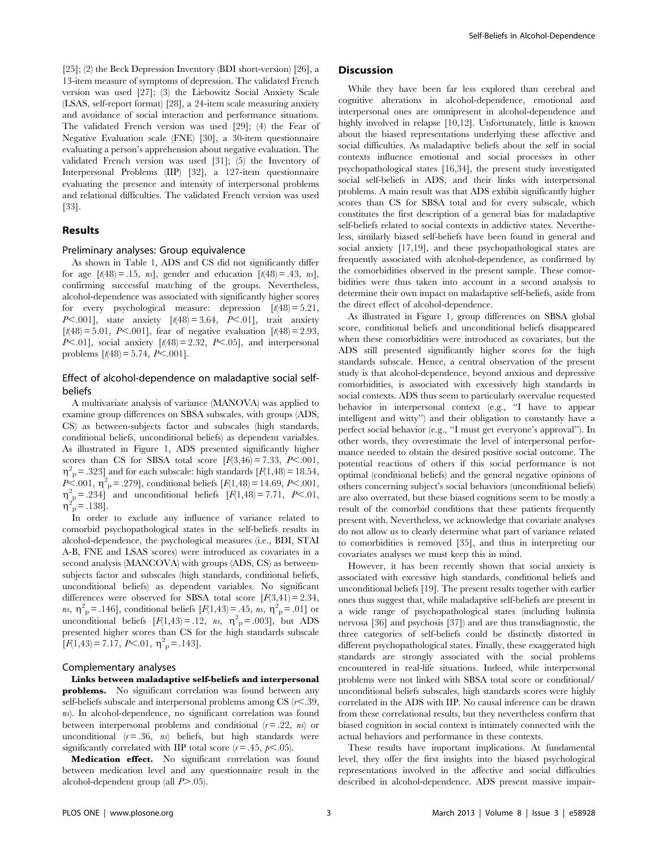[25]; (2) the Beck Depression Inventory (BDI short-version) [26], a 13-item measure of symptoms of depression. The validated French version was used [27]; (3) the Liebowitz Social Anxiety Scale (LSAS, self-report format) [28], a 24-item scale measuring anxiety and avoidance of social interaction and performance situations. The validated French version was used [29]; (4) the Fear of Negative Evaluation scale (FNE) [30], a 30-item questionnaire evaluating a person's apprehension about negative evaluation. The validated French version was used [31]; (5) the Inventory of Interpersonal Problems (IIP) [32], a 127-item questionnaire evaluating the presence and intensity of interpersonal problems and relational difficulties. The validated French version was used [33].

## Results

## Preliminary analyses: Group equivalence

As shown in Table 1, ADS and CS did not significantly differ for age  $[t(48) = .15, ns]$ , gender and education  $[t(48) = .43, ns]$ , confirming successful matching of the groups. Nevertheless, alcohol-dependence was associated with significantly higher scores for every psychological measure: depression  $\lceil t(48) = 5.21$ ,  $P\leq0.001$ , state anxiety  $\lceil t(48)=3.64, P\leq0.01\rceil$ , trait anxiety  $[t(48) = 5.01, P \le 0.001]$ , fear of negative evaluation  $[t(48) = 2.93,$  $P\leq 0.01$ , social anxiety  $\lceil t(48) = 2.32, P\leq 0.05 \rceil$ , and interpersonal problems  $\lceil t(48) = 5.74, P \leq .001 \rceil$ .

## Effect of alcohol-dependence on maladaptive social selfbeliefs

A multivariate analysis of variance (MANOVA) was applied to examine group differences on SBSA subscales, with groups (ADS, CS) as between-subjects factor and subscales (high standards, conditional beliefs, unconditional beliefs) as dependent variables. As illustrated in Figure 1, ADS presented significantly higher scores than CS for SBSA total score  $[F(3,46) = 7.33, P \lt 0.001,$  $\eta^2$ <sub>p</sub> = .323] and for each subscale: high standards [ $F(1,48)$  = 18.54,  $P<.001$ ,  $\eta^2$ <sub>p</sub> = .279], conditional beliefs [ $F(1,48)$  = 14.69,  $P<.001$ ,  $\eta_{\text{p}}^2 = .234$  and unconditional beliefs  $[F(1,48) = 7.71, P<.01,$  $\eta_{\text{p}}^2$  = .138].

In order to exclude any influence of variance related to comorbid psychopathological states in the self-beliefs results in alcohol-dependence, the psychological measures (i.e., BDI, STAI A-B, FNE and LSAS scores) were introduced as covariates in a second analysis (MANCOVA) with groups (ADS, CS) as betweensubjects factor and subscales (high standards, conditional beliefs, unconditional beliefs) as dependent variables. No significant differences were observed for SBSA total score  $[F(3,41) = 2.34,$ ns,  $\eta_{\text{p}}^2 = .146$ ], conditional beliefs  $[F(1,43) = .45, n_s, \eta_{\text{p}}^2 = .01]$  or unconditional beliefs  $[F(1,43) = .12, ns, n<sup>2</sup><sub>p</sub> = .003],$  but ADS presented higher scores than CS for the high standards subscale  $[F(1,43) = 7.17, P < .01, \eta^2$ <sub>p</sub> = .143].

#### Complementary analyses

Links between maladaptive self-beliefs and interpersonal problems. No significant correlation was found between any self-beliefs subscale and interpersonal problems among CS  $(r<.39,$ ns). In alcohol-dependence, no significant correlation was found between interpersonal problems and conditional  $(r = .22, ns)$  or unconditional  $(r=.36, ns)$  beliefs, but high standards were significantly correlated with IIP total score ( $r = .45$ ,  $p < .05$ ).

Medication effect. No significant correlation was found between medication level and any questionnaire result in the alcohol-dependent group (all  $P > .05$ ).

## **Discussion**

While they have been far less explored than cerebral and cognitive alterations in alcohol-dependence, emotional and interpersonal ones are omnipresent in alcohol-dependence and highly involved in relapse [10,12]. Unfortunately, little is known about the biased representations underlying these affective and social difficulties. As maladaptive beliefs about the self in social contexts influence emotional and social processes in other psychopathological states [16,34], the present study investigated social self-beliefs in ADS, and their links with interpersonal problems. A main result was that ADS exhibit significantly higher scores than CS for SBSA total and for every subscale, which constitutes the first description of a general bias for maladaptive self-beliefs related to social contexts in addictive states. Nevertheless, similarly biased self-beliefs have been found in general and social anxiety [17,19], and these psychopathological states are frequently associated with alcohol-dependence, as confirmed by the comorbidities observed in the present sample. These comorbidities were thus taken into account in a second analysis to determine their own impact on maladaptive self-beliefs, aside from the direct effect of alcohol-dependence.

As illustrated in Figure 1, group differences on SBSA global score, conditional beliefs and unconditional beliefs disappeared when these comorbidities were introduced as covariates, but the ADS still presented significantly higher scores for the high standards subscale. Hence, a central observation of the present study is that alcohol-dependence, beyond anxious and depressive comorbidities, is associated with excessively high standards in social contexts. ADS thus seem to particularly overvalue requested behavior in interpersonal context (e.g., ''I have to appear intelligent and witty'') and their obligation to constantly have a perfect social behavior (e.g., ''I must get everyone's approval''). In other words, they overestimate the level of interpersonal performance needed to obtain the desired positive social outcome. The potential reactions of others if this social performance is not optimal (conditional beliefs) and the general negative opinions of others concerning subject's social behaviors (unconditional beliefs) are also overrated, but these biased cognitions seem to be mostly a result of the comorbid conditions that these patients frequently present with. Nevertheless, we acknowledge that covariate analyses do not allow us to clearly determine what part of variance related to comorbidities is removed [35], and thus in interpreting our covariates analyses we must keep this in mind.

However, it has been recently shown that social anxiety is associated with excessive high standards, conditional beliefs and unconditional beliefs [19]. The present results together with earlier ones thus suggest that, while maladaptive self-beliefs are present in a wide range of psychopathological states (including bulimia nervosa [36] and psychosis [37]) and are thus transdiagnostic, the three categories of self-beliefs could be distinctly distorted in different psychopathological states. Finally, these exaggerated high standards are strongly associated with the social problems encountered in real-life situations. Indeed, while interpersonal problems were not linked with SBSA total score or conditional/ unconditional beliefs subscales, high standards scores were highly correlated in the ADS with IIP. No causal inference can be drawn from these correlational results, but they nevertheless confirm that biased cognition in social context is intimately connected with the actual behaviors and performance in these contexts.

These results have important implications. At fundamental level, they offer the first insights into the biased psychological representations involved in the affective and social difficulties described in alcohol-dependence. ADS present massive impair-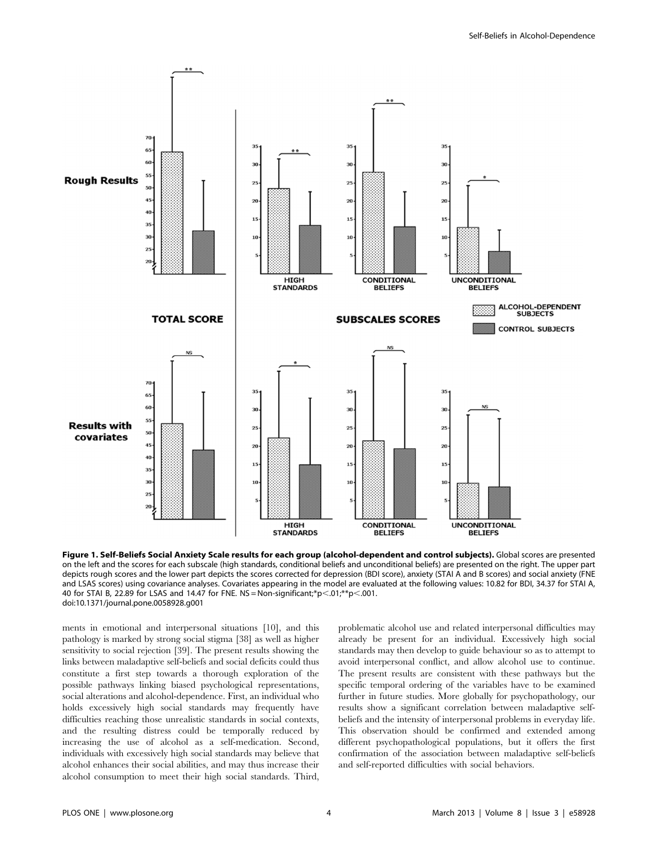

Figure 1. Self-Beliefs Social Anxiety Scale results for each group (alcohol-dependent and control subjects). Global scores are presented on the left and the scores for each subscale (high standards, conditional beliefs and unconditional beliefs) are presented on the right. The upper part depicts rough scores and the lower part depicts the scores corrected for depression (BDI score), anxiety (STAI A and B scores) and social anxiety (FNE and LSAS scores) using covariance analyses. Covariates appearing in the model are evaluated at the following values: 10.82 for BDI, 34.37 for STAI A, 40 for STAI B, 22.89 for LSAS and 14.47 for FNE. NS = Non-significant;\*p $<$ .01;\*\*p $<$ .001. doi:10.1371/journal.pone.0058928.g001

ments in emotional and interpersonal situations [10], and this pathology is marked by strong social stigma [38] as well as higher sensitivity to social rejection [39]. The present results showing the links between maladaptive self-beliefs and social deficits could thus constitute a first step towards a thorough exploration of the possible pathways linking biased psychological representations, social alterations and alcohol-dependence. First, an individual who holds excessively high social standards may frequently have difficulties reaching those unrealistic standards in social contexts, and the resulting distress could be temporally reduced by increasing the use of alcohol as a self-medication. Second, individuals with excessively high social standards may believe that alcohol enhances their social abilities, and may thus increase their alcohol consumption to meet their high social standards. Third,

problematic alcohol use and related interpersonal difficulties may already be present for an individual. Excessively high social standards may then develop to guide behaviour so as to attempt to avoid interpersonal conflict, and allow alcohol use to continue. The present results are consistent with these pathways but the specific temporal ordering of the variables have to be examined further in future studies. More globally for psychopathology, our results show a significant correlation between maladaptive selfbeliefs and the intensity of interpersonal problems in everyday life. This observation should be confirmed and extended among different psychopathological populations, but it offers the first confirmation of the association between maladaptive self-beliefs and self-reported difficulties with social behaviors.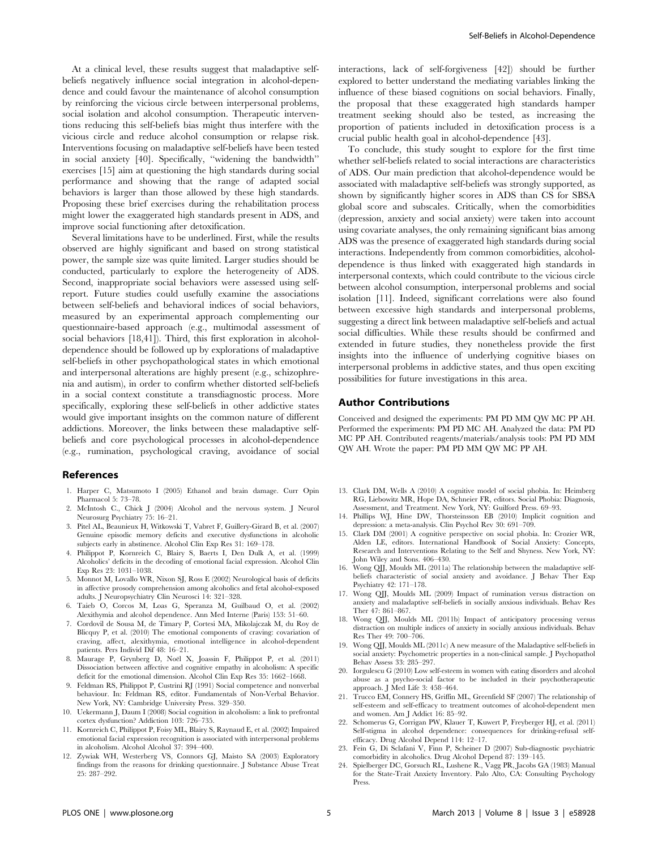At a clinical level, these results suggest that maladaptive selfbeliefs negatively influence social integration in alcohol-dependence and could favour the maintenance of alcohol consumption by reinforcing the vicious circle between interpersonal problems, social isolation and alcohol consumption. Therapeutic interventions reducing this self-beliefs bias might thus interfere with the vicious circle and reduce alcohol consumption or relapse risk. Interventions focusing on maladaptive self-beliefs have been tested in social anxiety [40]. Specifically, ''widening the bandwidth'' exercises [15] aim at questioning the high standards during social performance and showing that the range of adapted social behaviors is larger than those allowed by these high standards. Proposing these brief exercises during the rehabilitation process might lower the exaggerated high standards present in ADS, and improve social functioning after detoxification.

Several limitations have to be underlined. First, while the results observed are highly significant and based on strong statistical power, the sample size was quite limited. Larger studies should be conducted, particularly to explore the heterogeneity of ADS. Second, inappropriate social behaviors were assessed using selfreport. Future studies could usefully examine the associations between self-beliefs and behavioral indices of social behaviors, measured by an experimental approach complementing our questionnaire-based approach (e.g., multimodal assessment of social behaviors [18,41]). Third, this first exploration in alcoholdependence should be followed up by explorations of maladaptive self-beliefs in other psychopathological states in which emotional and interpersonal alterations are highly present (e.g., schizophrenia and autism), in order to confirm whether distorted self-beliefs in a social context constitute a transdiagnostic process. More specifically, exploring these self-beliefs in other addictive states would give important insights on the common nature of different addictions. Moreover, the links between these maladaptive selfbeliefs and core psychological processes in alcohol-dependence (e.g., rumination, psychological craving, avoidance of social

## References

- 1. Harper C, Matsumoto I (2005) Ethanol and brain damage. Curr Opin Pharmacol 5: 73–78.
- 2. McIntosh C., Chick J (2004) Alcohol and the nervous system. J Neurol Neurosurg Psychiatry 75: 16–21.
- 3. Pitel AL, Beaunieux H, Witkowski T, Vabret F, Guillery-Girard B, et al. (2007) Genuine episodic memory deficits and executive dysfunctions in alcoholic subjects early in abstinence. Alcohol Clin Exp Res 31: 169–178.
- 4. Philippot P, Kornreich C, Blairy S, Baerts I, Den Dulk A, et al. (1999) Alcoholics' deficits in the decoding of emotional facial expression. Alcohol Clin Exp Res 23: 1031–1038.
- 5. Monnot M, Lovallo WR, Nixon SJ, Ross E (2002) Neurological basis of deficits in affective prosody comprehension among alcoholics and fetal alcohol-exposed adults. J Neuropsychiatry Clin Neurosci 14: 321–328.
- 6. Taieb O, Corcos M, Loas G, Speranza M, Guilbaud O, et al. (2002) Alexithymia and alcohol dependence. Ann Med Interne (Paris) 153: 51–60.
- 7. Cordovil de Sousa M, de Timary P, Cortesi MA, Mikolajczak M, du Roy de Blicquy P, et al. (2010) The emotional components of craving: covariation of craving, affect, alexithymia, emotional intelligence in alcohol-dependent patients. Pers Individ Dif 48: 16–21.
- 8. Maurage P, Grynberg D, Noël X, Joassin F, Philippot P, et al. (2011) Dissociation between affective and cognitive empathy in alcoholism: A specific deficit for the emotional dimension. Alcohol Clin Exp Res 35: 1662–1668.
- 9. Feldman RS, Philippot P, Custrini RJ (1991) Social competence and nonverbal behaviour. In: Feldman RS, editor. Fundamentals of Non-Verbal Behavior. New York, NY: Cambridge University Press. 329–350.
- 10. Uekermann J, Daum I (2008) Social cognition in alcoholism: a link to prefrontal cortex dysfunction? Addiction 103: 726–735.
- 11. Kornreich C, Philippot P, Foisy ML, Blairy S, Raynaud E, et al. (2002) Impaired emotional facial expression recognition is associated with interpersonal problems in alcoholism. Alcohol Alcohol 37: 394–400.
- 12. Zywiak WH, Westerberg VS, Connors GJ, Maisto SA (2003) Exploratory findings from the reasons for drinking questionnaire. J Substance Abuse Treat 25: 287–292.

interactions, lack of self-forgiveness [42]) should be further explored to better understand the mediating variables linking the influence of these biased cognitions on social behaviors. Finally, the proposal that these exaggerated high standards hamper treatment seeking should also be tested, as increasing the proportion of patients included in detoxification process is a crucial public health goal in alcohol-dependence [43].

To conclude, this study sought to explore for the first time whether self-beliefs related to social interactions are characteristics of ADS. Our main prediction that alcohol-dependence would be associated with maladaptive self-beliefs was strongly supported, as shown by significantly higher scores in ADS than CS for SBSA global score and subscales. Critically, when the comorbidities (depression, anxiety and social anxiety) were taken into account using covariate analyses, the only remaining significant bias among ADS was the presence of exaggerated high standards during social interactions. Independently from common comorbidities, alcoholdependence is thus linked with exaggerated high standards in interpersonal contexts, which could contribute to the vicious circle between alcohol consumption, interpersonal problems and social isolation [11]. Indeed, significant correlations were also found between excessive high standards and interpersonal problems, suggesting a direct link between maladaptive self-beliefs and actual social difficulties. While these results should be confirmed and extended in future studies, they nonetheless provide the first insights into the influence of underlying cognitive biases on interpersonal problems in addictive states, and thus open exciting possibilities for future investigations in this area.

## Author Contributions

Conceived and designed the experiments: PM PD MM QW MC PP AH. Performed the experiments: PM PD MC AH. Analyzed the data: PM PD MC PP AH. Contributed reagents/materials/analysis tools: PM PD MM QW AH. Wrote the paper: PM PD MM QW MC PP AH.

- 13. Clark DM, Wells A (2010) A cognitive model of social phobia. In: Heimberg RG, Liebowitz MR, Hope DA, Schneier FR, editors. Social Phobia: Diagnosis, Assessment, and Treatment. New York, NY: Guilford Press. 69–93.
- 14. Phillips WJ, Hine DW, Thorsteinsson EB (2010) Implicit cognition and depression: a meta-analysis. Clin Psychol Rev 30: 691–709.
- 15. Clark DM (2001) A cognitive perspective on social phobia. In: Crozier WR, Alden LE, editors. International Handbook of Social Anxiety: Concept Research and Interventions Relating to the Self and Shyness. New York, NY: John Wiley and Sons. 406–430.
- 16. Wong QJJ, Moulds ML (2011a) The relationship between the maladaptive selfbeliefs characteristic of social anxiety and avoidance. J Behav Ther Exp Psychiatry 42: 171–178.
- 17. Wong QJJ, Moulds ML (2009) Impact of rumination versus distraction on anxiety and maladaptive self-beliefs in socially anxious individuals. Behav Res Ther 47: 861–867.
- 18. Wong QJJ, Moulds ML (2011b) Impact of anticipatory processing versus distraction on multiple indices of anxiety in socially anxious individuals. Behav Res Ther 49: 700–706.
- 19. Wong QJJ, Moulds ML (2011c) A new measure of the Maladaptive self-beliefs in social anxiety: Psychometric properties in a non-clinical sample. J Psychopathol Behav Assess 33: 285–297.
- 20. Iorgulescu G (2010) Low self-esteem in women with eating disorders and alcohol abuse as a psycho-social factor to be included in their psychotherapeutic approach. J Med Life 3: 458–464.
- 21. Trucco EM, Connery HS, Griffin ML, Greenfield SF (2007) The relationship of self-esteem and self-efficacy to treatment outcomes of alcohol-dependent men and women. Am J Addict 16: 85–92.
- 22. Schomerus G, Corrigan PW, Klauer T, Kuwert P, Freyberger HJ, et al. (2011) Self-stigma in alcohol dependence: consequences for drinking-refusal selfefficacy. Drug Alcohol Depend 114: 12–17.
- 23. Fein G, Di Sclafani V, Finn P, Scheiner D (2007) Sub-diagnostic psychiatric comorbidity in alcoholics. Drug Alcohol Depend 87: 139–145.
- 24. Spielberger DC, Gorsuch RL, Lushene R., Vagg PR, Jacobs GA (1983) Manual for the State-Trait Anxiety Inventory. Palo Alto, CA: Consulting Psychology Press.